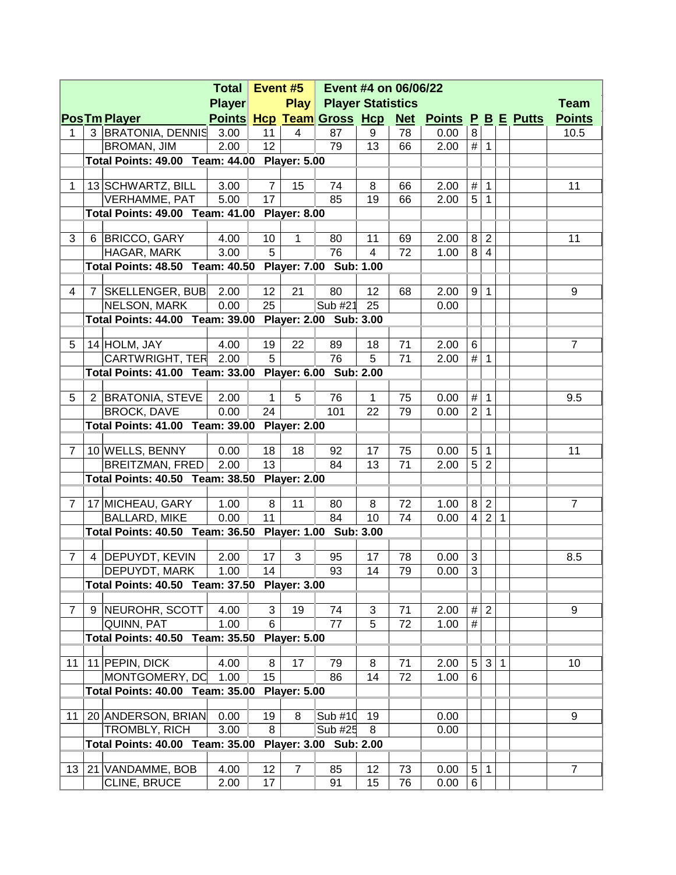|                 |                                                        |                                                                      | <b>Total</b>  |                 | Event #5 $\vert$<br>Event #4 on 06/06/22 |                          |                 |    |                                                  |                     |                |              |  |                |
|-----------------|--------------------------------------------------------|----------------------------------------------------------------------|---------------|-----------------|------------------------------------------|--------------------------|-----------------|----|--------------------------------------------------|---------------------|----------------|--------------|--|----------------|
|                 |                                                        |                                                                      | <b>Player</b> |                 | Play                                     | <b>Player Statistics</b> |                 |    |                                                  |                     |                | <b>Team</b>  |  |                |
|                 |                                                        | <b>PosTm Player</b>                                                  |               |                 |                                          |                          |                 |    | Points Hcp Team Gross Hcp Net Points P B E Putts |                     |                |              |  | <b>Points</b>  |
| 1               |                                                        | 3 BRATONIA, DENNIS                                                   | 3.00          | 11              | 4                                        | 87                       | 9               | 78 | 0.00                                             | 8                   |                |              |  | 10.5           |
|                 |                                                        | <b>BROMAN, JIM</b>                                                   | 2.00          | 12              |                                          | 79                       | 13              | 66 | 2.00                                             | #                   | $\mathbf{1}$   |              |  |                |
|                 |                                                        | Total Points: 49.00 Team: 44.00 Player: 5.00                         |               |                 |                                          |                          |                 |    |                                                  |                     |                |              |  |                |
|                 |                                                        |                                                                      |               |                 |                                          |                          |                 |    |                                                  |                     |                |              |  |                |
| 1               |                                                        | 13 SCHWARTZ, BILL                                                    | 3.00          | $\overline{7}$  | 15                                       | 74                       | 8               | 66 | 2.00                                             | #                   | $\mathbf{1}$   |              |  | 11             |
|                 |                                                        | VERHAMME, PAT                                                        | 5.00          | 17              |                                          | 85                       | 19              | 66 | 2.00                                             | 5                   | $\mathbf{1}$   |              |  |                |
|                 |                                                        | Total Points: 49.00 Team: 41.00 Player: 8.00                         |               |                 |                                          |                          |                 |    |                                                  |                     |                |              |  |                |
| 3               |                                                        | 6 BRICCO, GARY                                                       | 4.00          | 10              | $\mathbf{1}$                             | 80                       | 11              | 69 | 2.00                                             | 8                   | 2              |              |  | 11             |
|                 |                                                        | HAGAR, MARK                                                          | 3.00          | $\overline{5}$  |                                          | 76                       | $\overline{4}$  | 72 | 1.00                                             | 8                   | $\overline{4}$ |              |  |                |
|                 | Total Points: 48.50 Team: 40.50 Player: 7.00 Sub: 1.00 |                                                                      |               |                 |                                          |                          |                 |    |                                                  |                     |                |              |  |                |
|                 |                                                        |                                                                      |               |                 |                                          |                          |                 |    |                                                  |                     |                |              |  |                |
| 4               |                                                        | 7   SKELLENGER, BUB 2.00                                             |               | 12 <sup>2</sup> | 21                                       | 80                       | 12 <sup>2</sup> | 68 | 2.00                                             | 9                   | $\mathbf{1}$   |              |  | 9              |
|                 |                                                        | NELSON, MARK                                                         | 0.00          | 25              |                                          | Sub #21                  | 25              |    | 0.00                                             |                     |                |              |  |                |
|                 |                                                        | Total Points: 44.00 Team: 39.00 Player: 2.00 Sub: 3.00               |               |                 |                                          |                          |                 |    |                                                  |                     |                |              |  |                |
| 5               |                                                        | 14 HOLM, JAY                                                         | 4.00          | 19              | 22                                       | 89                       | 18              | 71 | 2.00                                             | 6                   |                |              |  | $\overline{7}$ |
|                 |                                                        | CARTWRIGHT, TER                                                      | 2.00          | $\overline{5}$  |                                          | 76                       | 5               | 71 | 2.00                                             | #                   | $\mathbf{1}$   |              |  |                |
|                 |                                                        | Total Points: 41.00 Team: 33.00 Player: 6.00 Sub: 2.00               |               |                 |                                          |                          |                 |    |                                                  |                     |                |              |  |                |
|                 |                                                        |                                                                      |               |                 |                                          |                          |                 |    |                                                  |                     |                |              |  |                |
| 5               |                                                        | 2 BRATONIA, STEVE                                                    | 2.00          | 1               | 5                                        | 76                       | 1               | 75 | 0.00                                             | #                   | $\mathbf{1}$   |              |  | 9.5            |
|                 |                                                        | <b>BROCK, DAVE</b>                                                   | 0.00          | 24              |                                          | 101                      | 22              | 79 | 0.00                                             | $\overline{2}$      | $\mathbf{1}$   |              |  |                |
|                 |                                                        | Total Points: 41.00 Team: 39.00 Player: 2.00                         |               |                 |                                          |                          |                 |    |                                                  |                     |                |              |  |                |
| $\overline{7}$  |                                                        | 10 WELLS, BENNY                                                      | 0.00          | 18              | 18                                       | 92                       | 17              | 75 | 0.00                                             | 5                   | $\mathbf{1}$   |              |  | 11             |
|                 |                                                        | <b>BREITZMAN, FRED</b>                                               | 2.00          | 13              |                                          | 84                       | 13              | 71 | 2.00                                             | 5                   | $\overline{2}$ |              |  |                |
|                 |                                                        | Total Points: 40.50 Team: 38.50 Player: 2.00                         |               |                 |                                          |                          |                 |    |                                                  |                     |                |              |  |                |
|                 |                                                        |                                                                      |               |                 |                                          |                          |                 |    |                                                  |                     |                |              |  |                |
| $\overline{7}$  |                                                        | 17 MICHEAU, GARY                                                     | 1.00          | 8               | 11                                       | 80                       | 8               | 72 | 1.00                                             | 8                   | $\overline{2}$ |              |  | $\overline{7}$ |
|                 |                                                        | <b>BALLARD, MIKE</b>                                                 | 0.00          | 11              |                                          | 84                       | 10 <sup>1</sup> | 74 | 0.00                                             | 4                   | $\overline{2}$ | $\mathbf{1}$ |  |                |
|                 |                                                        | Total Points: 40.50 Team: 36.50 Player: 1.00 Sub: 3.00               |               |                 |                                          |                          |                 |    |                                                  |                     |                |              |  |                |
|                 |                                                        |                                                                      |               |                 |                                          |                          |                 |    |                                                  |                     |                |              |  |                |
| $\overline{7}$  |                                                        | 4 DEPUYDT, KEVIN                                                     | 2.00          | 17              | 3                                        | 95                       | 17              | 78 | 0.00                                             | 3<br>$\overline{3}$ |                |              |  | 8.5            |
|                 |                                                        | DEPUYDT, MARK   1.00<br>Total Points: 40.50 Team: 37.50 Player: 3.00 |               | $\boxed{14}$    |                                          | 93                       | 14              | 79 | 0.00                                             |                     |                |              |  |                |
|                 |                                                        |                                                                      |               |                 |                                          |                          |                 |    |                                                  |                     |                |              |  |                |
| $\overline{7}$  | 9                                                      | NEUROHR, SCOTT                                                       | 4.00          | 3               | 19                                       | 74                       | 3               | 71 | 2.00                                             | #                   | $\overline{2}$ |              |  | 9              |
|                 |                                                        | QUINN, PAT                                                           | 1.00          | 6               |                                          | 77                       | 5               | 72 | 1.00                                             | #                   |                |              |  |                |
|                 |                                                        | <b>Total Points: 40.50</b>                                           | Team: 35.50   |                 | <b>Player: 5.00</b>                      |                          |                 |    |                                                  |                     |                |              |  |                |
|                 |                                                        |                                                                      |               |                 |                                          |                          |                 |    |                                                  |                     |                |              |  |                |
| 11              |                                                        | 11 PEPIN, DICK                                                       | 4.00          | 8               | 17                                       | 79                       | 8               | 71 | 2.00                                             | 5                   | 3              | $\mathbf{1}$ |  | 10             |
|                 |                                                        | MONTGOMERY, DC                                                       | 1.00          | 15              |                                          | 86                       | 14              | 72 | 1.00                                             | 6                   |                |              |  |                |
|                 | <b>Player: 5.00</b><br>Total Points: 40.00 Team: 35.00 |                                                                      |               |                 |                                          |                          |                 |    |                                                  |                     |                |              |  |                |
| 11              |                                                        | 20 ANDERSON, BRIAN                                                   | 0.00          | 19              | 8                                        | Sub #10                  | 19              |    | 0.00                                             |                     |                |              |  | 9              |
|                 |                                                        | TROMBLY, RICH                                                        | 3.00          | 8               |                                          | Sub #25                  | 8               |    | 0.00                                             |                     |                |              |  |                |
|                 |                                                        | Total Points: 40.00 Team: 35.00                                      |               |                 |                                          | Player: 3.00 Sub: 2.00   |                 |    |                                                  |                     |                |              |  |                |
|                 |                                                        |                                                                      |               |                 |                                          |                          |                 |    |                                                  |                     |                |              |  |                |
| 13 <sup>°</sup> |                                                        | 21 VANDAMME, BOB                                                     | 4.00          | 12              | $\overline{7}$                           | 85                       | 12              | 73 | 0.00                                             | 5                   | $\mathbf{1}$   |              |  | $\overline{7}$ |
|                 |                                                        | CLINE, BRUCE                                                         | 2.00          | 17              |                                          | 91                       | 15              | 76 | 0.00                                             | 6                   |                |              |  |                |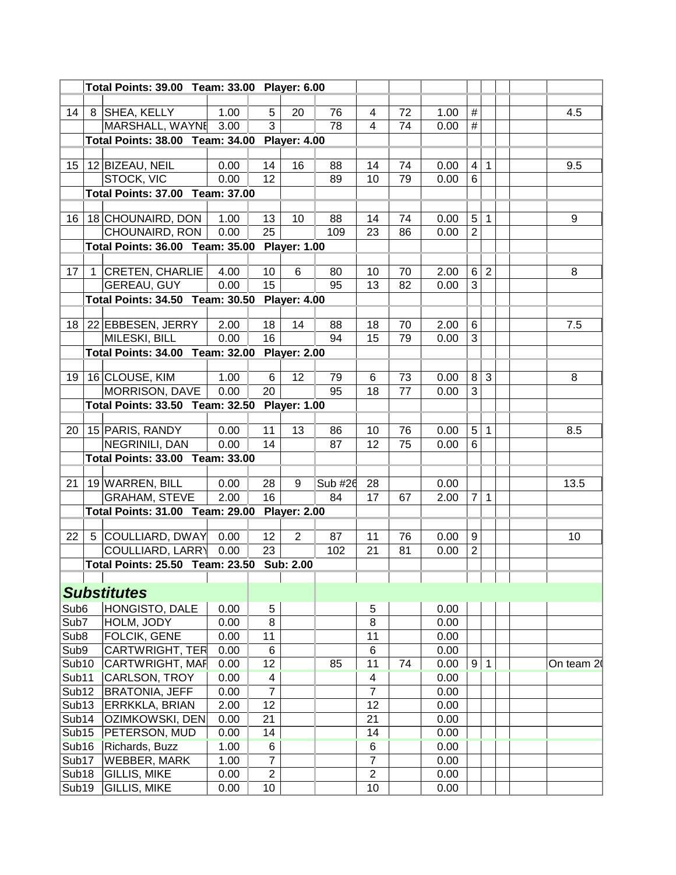|                   |              | Total Points: 39.00 Team: 33.00 Player: 6.00 |              |                 |                     |         |                         |    |      |                |                |            |
|-------------------|--------------|----------------------------------------------|--------------|-----------------|---------------------|---------|-------------------------|----|------|----------------|----------------|------------|
| 14                |              | 8 SHEA, KELLY                                | 1.00         | 5               | 20                  | 76      | 4                       | 72 | 1.00 | $\#$           |                | 4.5        |
|                   |              | MARSHALL, WAYNE                              | 3.00         | $\overline{3}$  |                     | 78      | $\overline{\mathbf{4}}$ | 74 | 0.00 | #              |                |            |
|                   |              | <b>Total Points: 38.00 Team: 34.00</b>       |              |                 | <b>Player: 4.00</b> |         |                         |    |      |                |                |            |
|                   |              |                                              |              |                 |                     |         |                         |    |      |                |                |            |
| 15                |              | 12 BIZEAU, NEIL                              | 0.00         | 14              | 16                  | 88      | 14                      | 74 | 0.00 | $\overline{4}$ | $\mathbf{1}$   | 9.5        |
|                   |              | STOCK, VIC                                   | 0.00         | 12              |                     | 89      | 10                      | 79 | 0.00 | 6              |                |            |
|                   |              | Total Points: 37.00 Team: 37.00              |              |                 |                     |         |                         |    |      |                |                |            |
|                   |              |                                              |              |                 |                     |         |                         |    |      |                |                |            |
| 16                |              | 18 CHOUNAIRD, DON                            | 1.00         | 13              | 10                  | 88      | 14                      | 74 | 0.00 | 5 <sup>5</sup> | $\mathbf{1}$   | 9          |
|                   |              | CHOUNAIRD, RON                               | 0.00         | 25              |                     | 109     | 23                      | 86 | 0.00 | $\overline{2}$ |                |            |
|                   |              | Total Points: 36.00 Team: 35.00 Player: 1.00 |              |                 |                     |         |                         |    |      |                |                |            |
|                   |              |                                              |              |                 |                     |         |                         |    |      |                |                |            |
| 17                | $\mathbf{1}$ | <b>CRETEN, CHARLIE</b>                       | 4.00         | 10              | 6                   | 80      | 10                      | 70 | 2.00 | $6 \mid$       | $\overline{2}$ | 8          |
|                   |              | GEREAU, GUY                                  | 0.00         | 15              |                     | 95      | 13                      | 82 | 0.00 | 3              |                |            |
|                   |              | Total Points: 34.50 Team: 30.50 Player: 4.00 |              |                 |                     |         |                         |    |      |                |                |            |
|                   |              |                                              |              |                 |                     |         |                         |    |      |                |                |            |
| 18                |              | 22 EBBESEN, JERRY                            | 2.00<br>0.00 | 18<br>16        | 14                  | 88      | 18                      | 70 | 2.00 | 6              |                | 7.5        |
|                   |              | MILESKI, BILL                                |              |                 |                     | 94      | 15                      | 79 | 0.00 | 3              |                |            |
|                   |              | Total Points: 34.00 Team: 32.00 Player: 2.00 |              |                 |                     |         |                         |    |      |                |                |            |
| 19                |              | 16 CLOUSE, KIM                               | 1.00         | 6               | 12                  | 79      | 6                       | 73 | 0.00 | 8              | 3              | 8          |
|                   |              | MORRISON, DAVE                               | 0.00         | 20              |                     | 95      | 18                      | 77 | 0.00 | 3              |                |            |
|                   |              | Total Points: 33.50 Team: 32.50 Player: 1.00 |              |                 |                     |         |                         |    |      |                |                |            |
|                   |              |                                              |              |                 |                     |         |                         |    |      |                |                |            |
| 20                |              | 15 PARIS, RANDY                              | 0.00         | 11              | 13                  | 86      | 10                      | 76 | 0.00 | 5 <sup>5</sup> | $\mathbf{1}$   | 8.5        |
|                   |              | NEGRINILI, DAN                               | 0.00         | 14              |                     | 87      | 12                      | 75 | 0.00 | 6              |                |            |
|                   |              | Total Points: 33.00 Team: 33.00              |              |                 |                     |         |                         |    |      |                |                |            |
|                   |              |                                              |              |                 |                     |         |                         |    |      |                |                |            |
| 21                |              | 19 WARREN, BILL                              | 0.00         | 28              | 9                   | Sub #26 | 28                      |    | 0.00 |                |                | 13.5       |
|                   |              | <b>GRAHAM, STEVE</b>                         | 2.00         | 16              |                     | 84      | 17                      | 67 | 2.00 | 7 <sup>1</sup> | $\mathbf{1}$   |            |
|                   |              | Total Points: 31.00 Team: 29.00 Player: 2.00 |              |                 |                     |         |                         |    |      |                |                |            |
|                   |              |                                              |              |                 |                     |         |                         |    |      |                |                |            |
| 22                |              | 5 COULLIARD, DWAY                            | 0.00         | 12 <sub>2</sub> | 2                   | 87      | 11                      | 76 | 0.00 | 9              |                | 10         |
|                   |              | <b>COULLIARD, LARRY</b>                      | 0.00         | 23              |                     | 102     | 21                      | 81 | 0.00 | $\overline{2}$ |                |            |
|                   |              | Total Points: 25.50 Team: 23.50 Sub: 2.00    |              |                 |                     |         |                         |    |      |                |                |            |
|                   |              |                                              |              |                 |                     |         |                         |    |      |                |                |            |
|                   |              | <b>Substitutes</b>                           |              |                 |                     |         |                         |    |      |                |                |            |
| Sub <sub>6</sub>  |              | HONGISTO, DALE                               | 0.00         | 5               |                     |         | 5                       |    | 0.00 |                |                |            |
| Sub7              |              | HOLM, JODY                                   | 0.00         | 8               |                     |         | 8                       |    | 0.00 |                |                |            |
| Sub <sub>8</sub>  |              | FOLCIK, GENE                                 | 0.00         | 11              |                     |         | 11                      |    | 0.00 |                |                |            |
| Sub9              |              | <b>CARTWRIGHT, TER</b>                       | 0.00         | 6               |                     |         | $\,6$                   |    | 0.00 |                |                |            |
| Sub10             |              | CARTWRIGHT, MAF                              | 0.00         | 12              |                     | 85      | 11                      | 74 | 0.00 |                | 9 1            | On team 20 |
| Sub11             |              | CARLSON, TROY                                | 0.00         | 4               |                     |         | $\overline{4}$          |    | 0.00 |                |                |            |
| Sub <sub>12</sub> |              | <b>BRATONIA, JEFF</b>                        | 0.00         | $\overline{7}$  |                     |         | $\overline{7}$          |    | 0.00 |                |                |            |
| Sub <sub>13</sub> |              | ERRKKLA, BRIAN                               | 2.00         | 12              |                     |         | 12                      |    | 0.00 |                |                |            |
| Sub <sub>14</sub> |              | OZIMKOWSKI, DEN                              | 0.00         | 21              |                     |         | 21                      |    | 0.00 |                |                |            |
| Sub15             |              | <b>PETERSON, MUD</b>                         | 0.00         | 14              |                     |         | 14                      |    | 0.00 |                |                |            |
| Sub <sub>16</sub> |              | <b>Richards, Buzz</b>                        | 1.00         | $6\overline{6}$ |                     |         | 6                       |    | 0.00 |                |                |            |
| Sub17             |              | <b>WEBBER, MARK</b>                          | 1.00         | $\overline{7}$  |                     |         | $\overline{7}$          |    | 0.00 |                |                |            |
|                   |              | GILLIS, MIKE                                 | 0.00         | $\overline{2}$  |                     |         | $\overline{2}$          |    | 0.00 |                |                |            |
| Sub <sub>18</sub> |              |                                              |              |                 |                     |         |                         |    |      |                |                |            |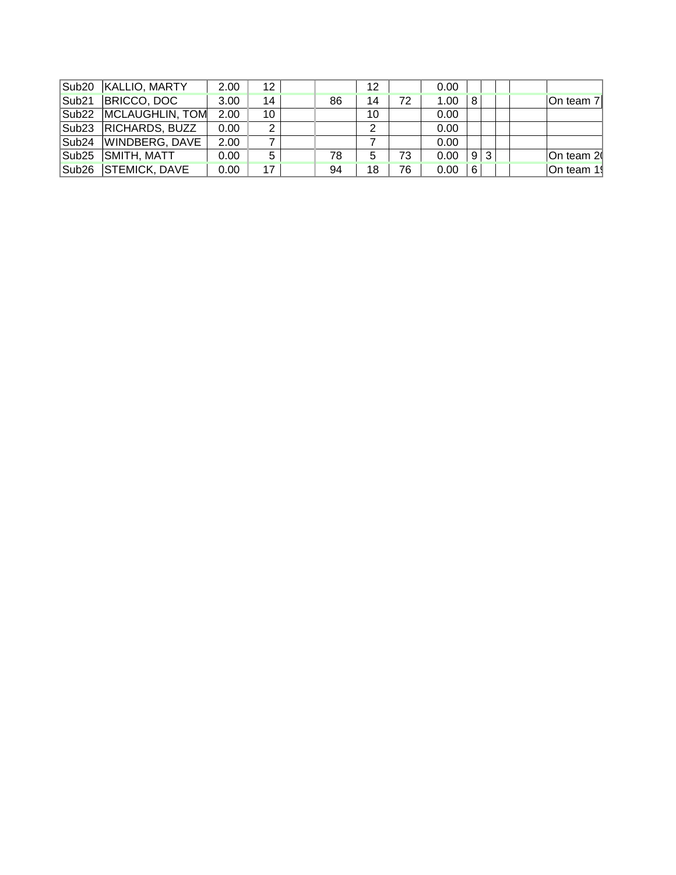| Sub <sub>20</sub> | KALLIO, MARTY          | 2.00 | 12 |    | 12 |    | 0.00 |   |     |             |
|-------------------|------------------------|------|----|----|----|----|------|---|-----|-------------|
| Sub <sub>21</sub> | BRICCO, DOC            | 3.00 | 14 | 86 | 14 | 72 | 1.00 | 8 |     | lOn team 7∥ |
| Sub <sub>22</sub> | <b>MCLAUGHLIN, TOM</b> | 2.00 | 10 |    | 10 |    | 0.00 |   |     |             |
| Sub <sub>23</sub> | <b>RICHARDS, BUZZ</b>  | 0.00 | 2  |    | 2  |    | 0.00 |   |     |             |
| Sub24             | WINDBERG, DAVE         | 2.00 | 7  |    | 7  |    | 0.00 |   |     |             |
| Sub <sub>25</sub> | SMITH, MATT            | 0.00 | 5  | 78 | 5  | 73 | 0.00 |   | 9 3 | On team 20  |
| Sub <sub>26</sub> | <b>STEMICK, DAVE</b>   | 0.00 | 17 | 94 | 18 | 76 | 0.00 | 6 |     | On team 1   |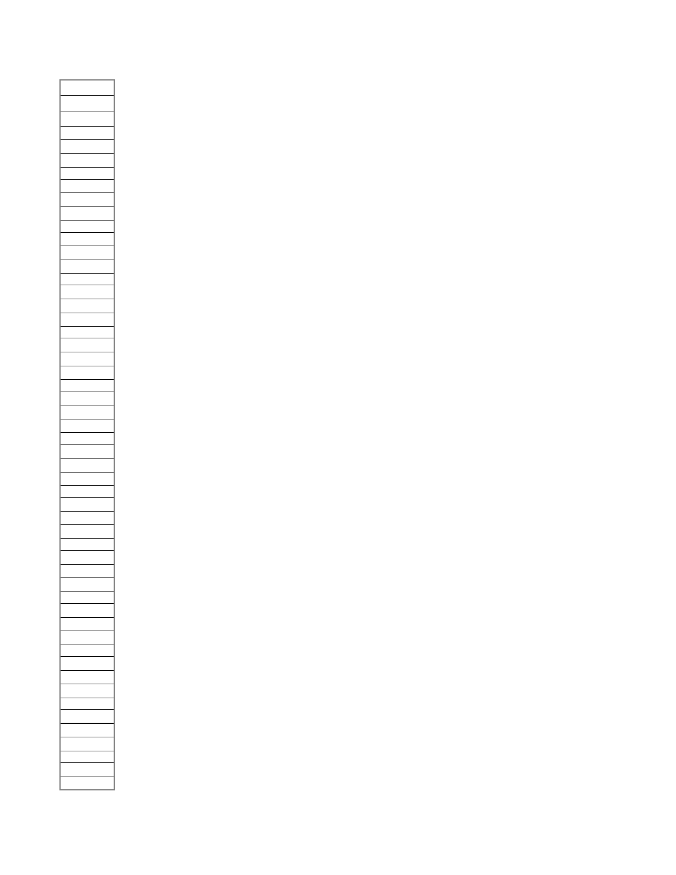